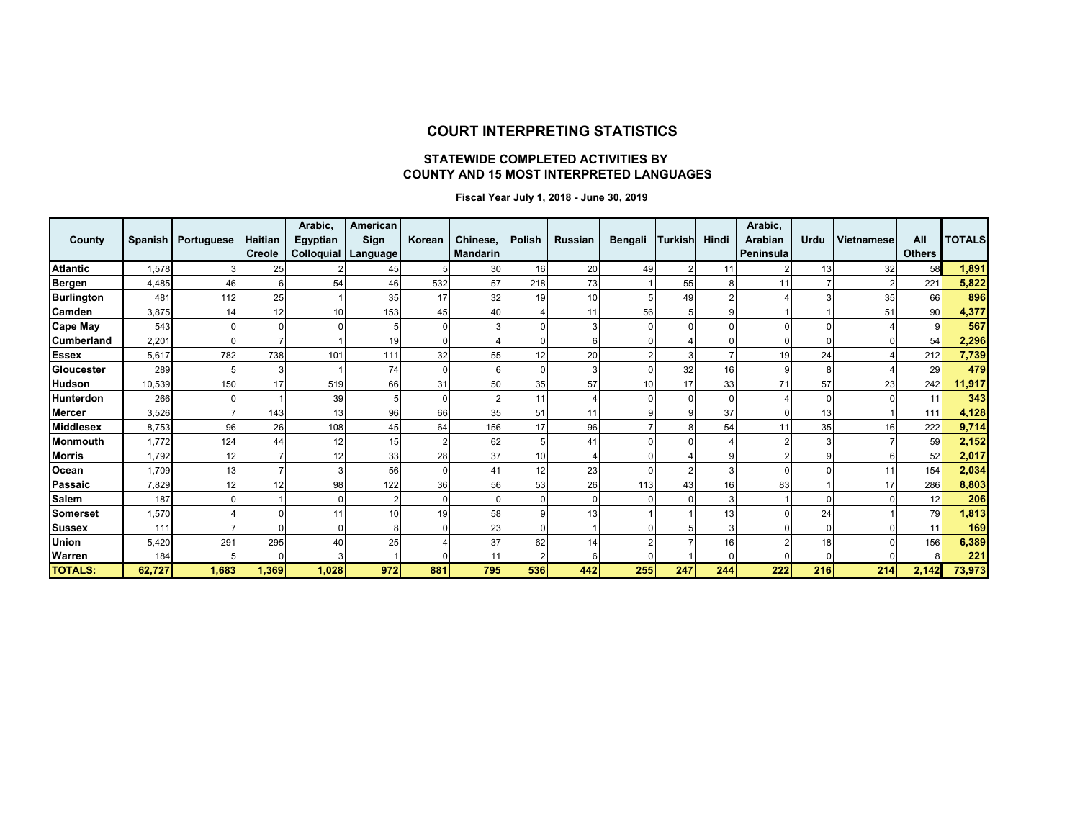### **COURT INTERPRETING STATISTICS**

#### **STATEWIDE COMPLETED ACTIVITIES BY COUNTY AND 15 MOST INTERPRETED LANGUAGES**

 **Fiscal Year July 1, 2018 - June 30, 2019**

| County            |        | Spanish   Portuguese | Haitian<br><b>Creole</b> | Arabic,<br>Egyptian<br>Colloquial   Language | American<br>Sign | Korean | Chinese,<br><b>Mandarin</b> | Polish | <b>Russian</b> | <b>Bengali</b> | Turkish | Hindi    | Arabic,<br>Arabian<br>Peninsula | Urdu | <b>Vietnamese</b> | All<br><b>Others</b> | <b>TOTALS</b> |
|-------------------|--------|----------------------|--------------------------|----------------------------------------------|------------------|--------|-----------------------------|--------|----------------|----------------|---------|----------|---------------------------------|------|-------------------|----------------------|---------------|
| <b>Atlantic</b>   | 1,578  | 3                    | 25                       |                                              | 45               |        | 30                          | 16     | 20             | 49             | 2       | 11       |                                 | 13   | 32                | 58                   | 1,891         |
| <b>Bergen</b>     | 4,485  | 46                   |                          | 54                                           | 46               | 532    | 57                          | 218    | 73             |                | 55      | 8        | 11                              |      |                   | 221                  | 5,822         |
| <b>Burlington</b> | 481    | 112                  | 25                       |                                              | 35               | 17     | 32                          | 19     | 10             |                | 49      | 2        |                                 | 3    | 35                | 66                   | 896           |
| Camden            | 3,875  | 14                   | 12                       | 10                                           | 153              | 45     | 40                          |        |                | 56             |         | 9        |                                 |      | 51                | 90                   | 4,377         |
| <b>Cape May</b>   | 543    | 0                    |                          |                                              | 5                |        |                             |        |                |                |         | C        |                                 |      |                   | 9                    | 567           |
| <b>Cumberland</b> | 2,201  | $\Omega$             |                          |                                              | 19               |        |                             |        |                |                |         | $\Omega$ |                                 |      |                   | 54                   | 2,296         |
| <b>Essex</b>      | 5,617  | 782                  | 738                      | 101                                          | 111              | 32     | 55                          | 12     | 20             |                |         |          | 19                              | 24   |                   | 212                  | 7,739         |
| Gloucester        | 289    | 5                    |                          |                                              | 74               |        | 6                           |        |                |                | 32      | 16       | 9                               |      |                   | 29                   | 479           |
| <b>Hudson</b>     | 10,539 | 150                  | 17                       | 519                                          | 66               | 31     | 50                          | 35     | 57             | 10             | 17      | 33       | 71                              | 57   | 23                | 242                  | 11,917        |
| <b>Hunterdon</b>  | 266    | $\Omega$             |                          | 39                                           |                  |        |                             | 11     |                |                |         | $\Omega$ |                                 |      |                   | 11                   | 343           |
| <b>Mercer</b>     | 3.526  |                      | 143                      | 13                                           | 96               | 66     | 35                          | 51     | 11             |                |         | 37       | $\Omega$                        | 13   |                   | 111                  | 4,128         |
| <b>Middlesex</b>  | 8,753  | 96                   | 26                       | 108                                          | 45               | 64     | 156                         | 17     | 96             |                |         | 54       | 11                              | 35   | 16                | 222                  | 9,714         |
| Monmouth          | 1.772  | 124                  | 44                       | 12                                           | 15               |        | 62                          | 5      | 41             |                |         | Δ        |                                 | 3    |                   | 59                   | 2,152         |
| <b>Morris</b>     | 1,792  | 12                   |                          | 12                                           | 33               | 28     | 37                          | 10     |                |                |         | 9        |                                 | g    |                   | 52                   | 2,017         |
| Ocean             | 1.709  | 13                   |                          |                                              | 56               |        | 41                          | 12     | 23             |                |         | 3        |                                 |      | 11                | 154                  | 2,034         |
| Passaic           | 7,829  | 12                   | 12                       | 98                                           | 122              | 36     | 56                          | 53     | 26             | 113            | 43      | 16       | 83                              |      | 17                | 286                  | 8,803         |
| <b>Salem</b>      | 187    | $\Omega$             |                          |                                              | $\overline{2}$   |        | <sup>0</sup>                |        |                |                |         | 3        |                                 |      |                   | 12                   | 206           |
| Somerset          | 1,570  |                      |                          | 11                                           | 10               | 19     | 58                          |        | 13             |                |         | 13       |                                 | 24   |                   | 79                   | 1,813         |
| <b>Sussex</b>     | 111    |                      |                          |                                              | 8                |        | 23                          |        |                |                |         | 3        |                                 |      |                   | 11                   | 169           |
| Union             | 5,420  | 291                  | 295                      | 40                                           | 25               |        | 37                          | 62     | 14             |                |         | 16       |                                 | 18   |                   | 156                  | 6,389         |
| Warren            | 184    | 5                    |                          |                                              |                  |        | 11                          | 2      |                |                |         | $\Omega$ | $\cap$                          |      |                   | 8                    | 221           |
| <b>TOTALS:</b>    | 62,727 | 1,683                | 1,369                    | 1,028                                        | 972              | 881    | 795                         | 536    | 442            | 255            | 247     | 244      | 222                             | 216  | 214               | 2,142                | 73,973        |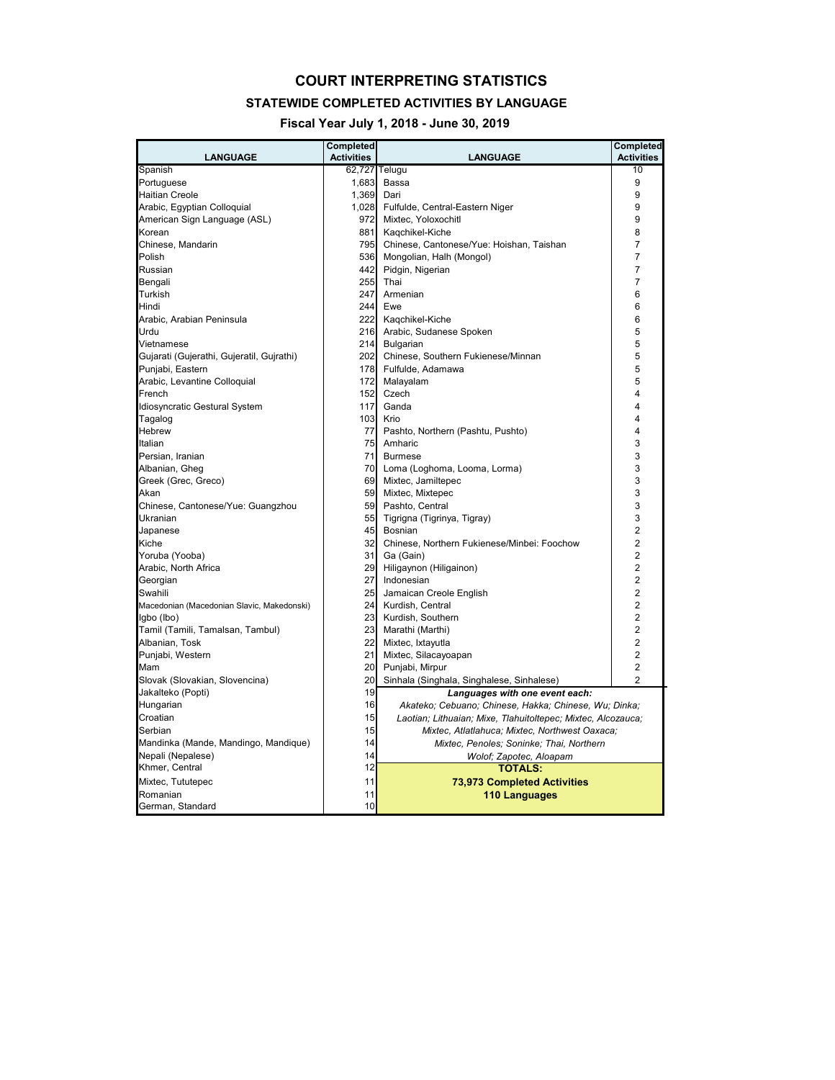#### **COURT INTERPRETING STATISTICS**

#### **STATEWIDE COMPLETED ACTIVITIES BY LANGUAGE**

**Fiscal Year July 1, 2018 - June 30, 2019**

| <b>LANGUAGE</b>                            | Completed<br><b>Activities</b> | <b>LANGUAGE</b>                                              | Completed<br><b>Activities</b> |
|--------------------------------------------|--------------------------------|--------------------------------------------------------------|--------------------------------|
| Spanish                                    | 62,727                         | Telugu                                                       | 10                             |
| Portuguese                                 | 1,683                          | Bassa                                                        | 9                              |
| <b>Haitian Creole</b>                      | 1,369                          | Dari                                                         | 9                              |
| Arabic, Egyptian Colloquial                | 1,028                          | Fulfulde, Central-Eastern Niger                              | 9                              |
| American Sign Language (ASL)               | 972                            | Mixtec, Yoloxochitl                                          | 9                              |
| Korean                                     | 881                            | Kaqchikel-Kiche                                              | 8                              |
| Chinese, Mandarin                          | 795                            | Chinese, Cantonese/Yue: Hoishan, Taishan                     | 7                              |
| Polish                                     | 536                            | Mongolian, Halh (Mongol)                                     | $\overline{7}$                 |
| Russian                                    | 442                            | Pidgin, Nigerian                                             | 7                              |
| Bengali                                    | 255                            | Thai                                                         | 7                              |
| Turkish                                    | 247                            | Armenian                                                     | 6                              |
| Hindi                                      | 244                            | Ewe                                                          | 6                              |
| Arabic, Arabian Peninsula                  | 222                            | Kaqchikel-Kiche                                              | 6                              |
| Urdu                                       | 216                            | Arabic, Sudanese Spoken                                      | 5                              |
| Vietnamese                                 | 214                            | Bulgarian                                                    | 5                              |
| Gujarati (Gujerathi, Gujeratil, Gujrathi)  | 202                            | Chinese, Southern Fukienese/Minnan                           | 5                              |
| Punjabi, Eastern                           | 178                            | Fulfulde, Adamawa                                            | 5                              |
| Arabic, Levantine Colloquial               | 172                            | Malayalam                                                    | 5                              |
| French                                     | 152                            | Czech                                                        | 4                              |
| Idiosyncratic Gestural System              | 117                            | Ganda                                                        | 4                              |
| Tagalog                                    | 103                            | Krio                                                         | 4                              |
| Hebrew                                     | 77                             | Pashto, Northern (Pashtu, Pushto)                            | 4                              |
| Italian                                    | 75                             | Amharic                                                      | 3                              |
| Persian, Iranian                           | 71                             | <b>Burmese</b>                                               | 3                              |
| Albanian, Gheg                             | 70                             | Loma (Loghoma, Looma, Lorma)                                 | 3                              |
| Greek (Grec, Greco)                        | 69                             | Mixtec, Jamiltepec                                           | 3                              |
| Akan                                       | 59                             | Mixtec, Mixtepec                                             | 3                              |
| Chinese, Cantonese/Yue: Guangzhou          | 59                             | Pashto, Central                                              | 3                              |
| Ukranian                                   | 55                             | Tigrigna (Tigrinya, Tigray)                                  | 3                              |
| Japanese                                   | 45                             | Bosnian                                                      | $\overline{2}$                 |
| Kiche                                      | 32                             | Chinese, Northern Fukienese/Minbei: Foochow                  | $\overline{2}$                 |
| Yoruba (Yooba)                             | 31                             | Ga (Gain)                                                    | $\overline{2}$                 |
| Arabic, North Africa                       | 29                             | Hiligaynon (Hiligainon)                                      | $\overline{2}$                 |
| Georgian                                   | 27                             | Indonesian                                                   | $\overline{2}$                 |
| Swahili                                    | 25                             | Jamaican Creole English                                      | $\overline{2}$                 |
| Macedonian (Macedonian Slavic, Makedonski) | 24                             | Kurdish, Central                                             | 2                              |
| Igbo (Ibo)                                 | 23                             | Kurdish, Southern                                            | $\overline{2}$                 |
| Tamil (Tamili, Tamalsan, Tambul)           | 23                             | Marathi (Marthi)                                             | 2                              |
| Albanian, Tosk                             | 22                             | Mixtec, Ixtayutla                                            | $\overline{2}$                 |
| Punjabi, Western                           | 21                             | Mixtec, Silacayoapan                                         | $\overline{2}$                 |
| Mam                                        | 20                             | Punjabi, Mirpur                                              | $\overline{2}$                 |
| Slovak (Slovakian, Slovencina)             | 20                             | Sinhala (Singhala, Singhalese, Sinhalese)                    | $\overline{2}$                 |
| Jakalteko (Popti)                          | 19                             | Languages with one event each:                               |                                |
| Hungarian                                  | 16                             | Akateko; Cebuano; Chinese, Hakka; Chinese, Wu; Dinka;        |                                |
| Croatian                                   | 15                             | Laotian; Lithuaian; Mixe, Tlahuitoltepec; Mixtec, Alcozauca; |                                |
| Serbian                                    | 15                             | Mixtec, Atlatlahuca; Mixtec, Northwest Oaxaca;               |                                |
| Mandinka (Mande, Mandingo, Mandique)       | 14                             | Mixtec, Penoles; Soninke; Thai, Northern                     |                                |
| Nepali (Nepalese)                          | 14                             | Wolof; Zapotec, Aloapam                                      |                                |
| Khmer, Central                             | 12                             | <b>TOTALS:</b>                                               |                                |
| Mixtec, Tututepec                          | 11                             | <b>73,973 Completed Activities</b>                           |                                |
| Romanian                                   | 11                             | 110 Languages                                                |                                |
| German, Standard                           | 10                             |                                                              |                                |